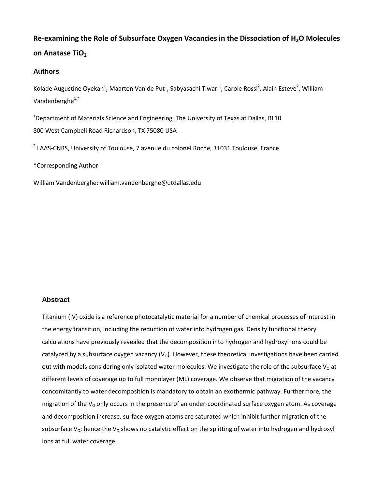# **Re-examining the Role of Subsurface Oxygen Vacancies in the Dissociation of H2O Molecules on Anatase TiO<sup>2</sup>**

## **Authors**

Kolade Augustine Oyekan<sup>1</sup>, Maarten Van de Put<sup>1</sup>, Sabyasachi Tiwari<sup>1</sup>, Carole Rossi<sup>2</sup>, Alain Esteve<sup>2</sup>, William Vandenberghe<sup>1,\*</sup>

<sup>1</sup>Department of Materials Science and Engineering, The University of Texas at Dallas, RL10 800 West Campbell Road Richardson, TX 75080 USA

<sup>2</sup> LAAS-CNRS, University of Toulouse, 7 avenue du colonel Roche, 31031 Toulouse, France

\*Corresponding Author

William Vandenberghe: william.vandenberghe@utdallas.edu

#### **Abstract**

Titanium (IV) oxide is a reference photocatalytic material for a number of chemical processes of interest in the energy transition, including the reduction of water into hydrogen gas. Density functional theory calculations have previously revealed that the decomposition into hydrogen and hydroxyl ions could be catalyzed by a subsurface oxygen vacancy  $(V<sub>o</sub>)$ . However, these theoretical investigations have been carried out with models considering only isolated water molecules. We investigate the role of the subsurface  $V_0$  at different levels of coverage up to full monolayer (ML) coverage. We observe that migration of the vacancy concomitantly to water decomposition is mandatory to obtain an exothermic pathway. Furthermore, the migration of the  $V<sub>o</sub>$  only occurs in the presence of an under-coordinated surface oxygen atom. As coverage and decomposition increase, surface oxygen atoms are saturated which inhibit further migration of the subsurface  $V_{0}$ ; hence the  $V_{0}$  shows no catalytic effect on the splitting of water into hydrogen and hydroxyl ions at full water coverage.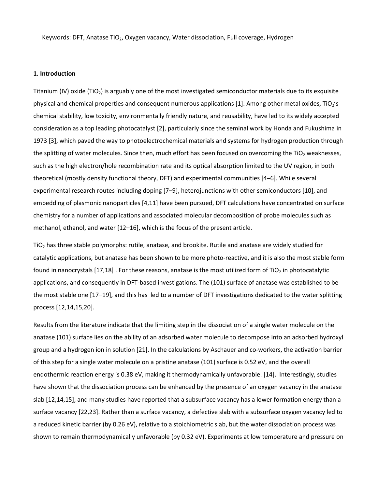Keywords: DFT, Anatase TiO<sub>2</sub>, Oxygen vacancy, Water dissociation, Full coverage, Hydrogen

#### **1. Introduction**

Titanium (IV) oxide (TiO<sub>2</sub>) is arguably one of the most investigated semiconductor materials due to its exquisite physical and chemical properties and consequent numerous applications [1]. Among other metal oxides,  $TiO<sub>2</sub>'s$ chemical stability, low toxicity, environmentally friendly nature, and reusability, have led to its widely accepted consideration as a top leading photocatalyst [2], particularly since the seminal work by Honda and Fukushima in 1973 [3], which paved the way to photoelectrochemical materials and systems for hydrogen production through the splitting of water molecules. Since then, much effort has been focused on overcoming the TiO<sub>2</sub> weaknesses, such as the high electron/hole recombination rate and its optical absorption limited to the UV region, in both theoretical (mostly density functional theory, DFT) and experimental communities [4–6]. While several experimental research routes including doping [7–9], heterojunctions with other semiconductors [10], and embedding of plasmonic nanoparticles [4,11] have been pursued, DFT calculations have concentrated on surface chemistry for a number of applications and associated molecular decomposition of probe molecules such as methanol, ethanol, and water [12–16], which is the focus of the present article.

TiO<sub>2</sub> has three stable polymorphs: rutile, anatase, and brookite. Rutile and anatase are widely studied for catalytic applications, but anatase has been shown to be more photo-reactive, and it is also the most stable form found in nanocrystals [17,18]. For these reasons, anatase is the most utilized form of TiO<sub>2</sub> in photocatalytic applications, and consequently in DFT-based investigations. The (101) surface of anatase was established to be the most stable one [17–19], and this has led to a number of DFT investigations dedicated to the water splitting process [12,14,15,20].

Results from the literature indicate that the limiting step in the dissociation of a single water molecule on the anatase (101) surface lies on the ability of an adsorbed water molecule to decompose into an adsorbed hydroxyl group and a hydrogen ion in solution [21]. In the calculations by Aschauer and co-workers, the activation barrier of this step for a single water molecule on a pristine anatase (101) surface is 0.52 eV, and the overall endothermic reaction energy is 0.38 eV, making it thermodynamically unfavorable. [14]. Interestingly, studies have shown that the dissociation process can be enhanced by the presence of an oxygen vacancy in the anatase slab [12,14,15], and many studies have reported that a subsurface vacancy has a lower formation energy than a surface vacancy [22,23]. Rather than a surface vacancy, a defective slab with a subsurface oxygen vacancy led to a reduced kinetic barrier (by 0.26 eV), relative to a stoichiometric slab, but the water dissociation process was shown to remain thermodynamically unfavorable (by 0.32 eV). Experiments at low temperature and pressure on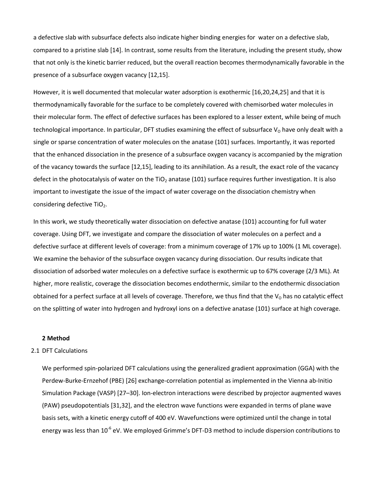a defective slab with subsurface defects also indicate higher binding energies for water on a defective slab, compared to a pristine slab [14]. In contrast, some results from the literature, including the present study, show that not only is the kinetic barrier reduced, but the overall reaction becomes thermodynamically favorable in the presence of a subsurface oxygen vacancy [12,15].

However, it is well documented that molecular water adsorption is exothermic [16,20,24,25] and that it is thermodynamically favorable for the surface to be completely covered with chemisorbed water molecules in their molecular form. The effect of defective surfaces has been explored to a lesser extent, while being of much technological importance. In particular, DFT studies examining the effect of subsurface  $V_0$  have only dealt with a single or sparse concentration of water molecules on the anatase (101) surfaces. Importantly, it was reported that the enhanced dissociation in the presence of a subsurface oxygen vacancy is accompanied by the migration of the vacancy towards the surface [12,15], leading to its annihilation. As a result, the exact role of the vacancy defect in the photocatalysis of water on the TiO<sub>2</sub> anatase (101) surface requires further investigation. It is also important to investigate the issue of the impact of water coverage on the dissociation chemistry when considering defective TiO<sub>2</sub>.

In this work, we study theoretically water dissociation on defective anatase (101) accounting for full water coverage. Using DFT, we investigate and compare the dissociation of water molecules on a perfect and a defective surface at different levels of coverage: from a minimum coverage of 17% up to 100% (1 ML coverage). We examine the behavior of the subsurface oxygen vacancy during dissociation. Our results indicate that dissociation of adsorbed water molecules on a defective surface is exothermic up to 67% coverage (2/3 ML). At higher, more realistic, coverage the dissociation becomes endothermic, similar to the endothermic dissociation obtained for a perfect surface at all levels of coverage. Therefore, we thus find that the  $V_0$  has no catalytic effect on the splitting of water into hydrogen and hydroxyl ions on a defective anatase (101) surface at high coverage.

#### **2 Method**

#### 2.1 DFT Calculations

We performed spin-polarized DFT calculations using the generalized gradient approximation (GGA) with the Perdew-Burke-Ernzehof (PBE) [26] exchange-correlation potential as implemented in the Vienna ab-Initio Simulation Package (VASP) [27–30]. Ion-electron interactions were described by projector augmented waves (PAW) pseudopotentials [31,32], and the electron wave functions were expanded in terms of plane wave basis sets, with a kinetic energy cutoff of 400 eV. Wavefunctions were optimized until the change in total energy was less than 10<sup>-6</sup> eV. We employed Grimme's DFT-D3 method to include dispersion contributions to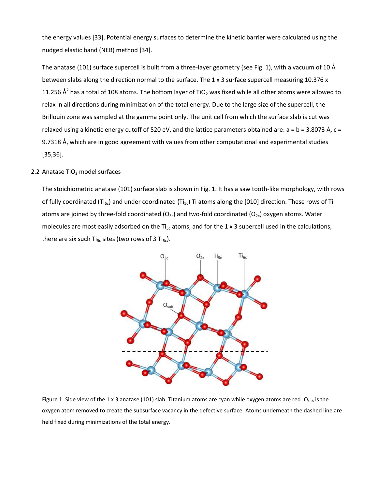the energy values [33]. Potential energy surfaces to determine the kinetic barrier were calculated using the nudged elastic band (NEB) method [34].

The anatase (101) surface supercell is built from a three-layer geometry (see Fig. 1), with a vacuum of 10 Å between slabs along the direction normal to the surface. The 1 x 3 surface supercell measuring 10.376 x 11.256  $\AA^2$  has a total of 108 atoms. The bottom layer of TiO<sub>2</sub> was fixed while all other atoms were allowed to relax in all directions during minimization of the total energy. Due to the large size of the supercell, the Brillouin zone was sampled at the gamma point only. The unit cell from which the surface slab is cut was relaxed using a kinetic energy cutoff of 520 eV, and the lattice parameters obtained are:  $a = b = 3.8073$  Å,  $c =$ 9.7318 Å, which are in good agreement with values from other computational and experimental studies [35,36].

#### 2.2 Anatase  $TiO<sub>2</sub>$  model surfaces

The stoichiometric anatase (101) surface slab is shown in Fig. 1. It has a saw tooth-like morphology, with rows of fully coordinated (Ti<sub>6c</sub>) and under coordinated (Ti<sub>5c</sub>) Ti atoms along the [010] direction. These rows of Ti atoms are joined by three-fold coordinated  $(O_{3c})$  and two-fold coordinated  $(O_{2c})$  oxygen atoms. Water molecules are most easily adsorbed on the Ti<sub>5c</sub> atoms, and for the 1 x 3 supercell used in the calculations, there are six such Ti<sub>5c</sub> sites (two rows of 3 Ti<sub>5c</sub>).



Figure 1: Side view of the 1 x 3 anatase (101) slab. Titanium atoms are cyan while oxygen atoms are red. O<sub>sub</sub> is the oxygen atom removed to create the subsurface vacancy in the defective surface. Atoms underneath the dashed line are held fixed during minimizations of the total energy.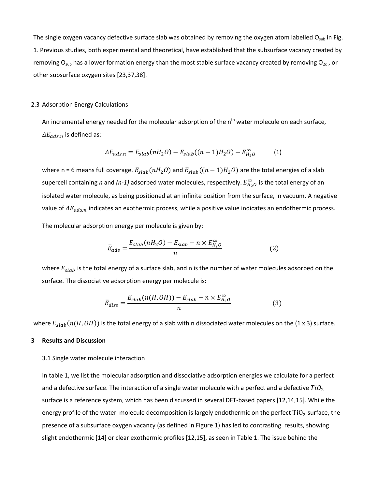The single oxygen vacancy defective surface slab was obtained by removing the oxygen atom labelled  $O_{sub}$  in Fig. 1. Previous studies, both experimental and theoretical, have established that the subsurface vacancy created by removing O<sub>sub</sub> has a lower formation energy than the most stable surface vacancy created by removing O<sub>2c</sub>, or other subsurface oxygen sites [23,37,38].

#### 2.3 Adsorption Energy Calculations

An incremental energy needed for the molecular adsorption of the n<sup>th</sup> water molecule on each surface,  $\Delta E_{ads,n}$  is defined as:

$$
\Delta E_{ads,n} = E_{slab}(nH_2O) - E_{slab}((n-1)H_2O) - E_{H_2O}^{\infty}
$$
 (1)

where n = 6 means full coverage.  $E_{slab}(nH_2O)$  and  $E_{slab}((n-1)H_2O)$  are the total energies of a slab supercell containing *n* and (*n-1*) adsorbed water molecules, respectively.  $E_{H_2O}^{\infty}$  is the total energy of an isolated water molecule, as being positioned at an infinite position from the surface, in vacuum. A negative value of  $\Delta E_{ads,n}$  indicates an exothermic process, while a positive value indicates an endothermic process.

The molecular adsorption energy per molecule is given by:

$$
\bar{E}_{ads} = \frac{E_{slab}(nH_2O) - E_{slab} - n \times E_{H_2O}^{\infty}}{n}
$$
 (2)

where  $E_{slab}$  is the total energy of a surface slab, and n is the number of water molecules adsorbed on the surface. The dissociative adsorption energy per molecule is:

$$
\bar{E}_{diss} = \frac{E_{slab}(n(H,OH)) - E_{slab} - n \times E_{H_2O}^{\infty}}{n}
$$
(3)

where  $E_{slab}(n(H,OH))$  is the total energy of a slab with n dissociated water molecules on the (1 x 3) surface.

#### **3 Results and Discussion**

#### 3.1 Single water molecule interaction

In table 1, we list the molecular adsorption and dissociative adsorption energies we calculate for a perfect and a defective surface. The interaction of a single water molecule with a perfect and a defective  $TiO<sub>2</sub>$ surface is a reference system, which has been discussed in several DFT-based papers [12,14,15]. While the energy profile of the water molecule decomposition is largely endothermic on the perfect  $TiO<sub>2</sub>$  surface, the presence of a subsurface oxygen vacancy (as defined in Figure 1) has led to contrasting results, showing slight endothermic [14] or clear exothermic profiles [12,15], as seen in Table 1. The issue behind the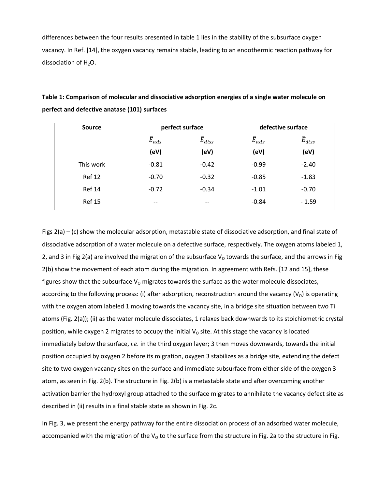differences between the four results presented in table 1 lies in the stability of the subsurface oxygen vacancy. In Ref. [14], the oxygen vacancy remains stable, leading to an endothermic reaction pathway for dissociation of  $H_2O$ .

| <b>Source</b> | perfect surface |                  | defective surface |                  |
|---------------|-----------------|------------------|-------------------|------------------|
|               | $\bar{E}_{ads}$ | $\bar{E}_{diss}$ | $\bar{E}_{ads}$   | $\bar{E}_{diss}$ |
|               | (eV)            | (eV)             | (eV)              | (eV)             |
| This work     | $-0.81$         | $-0.42$          | $-0.99$           | $-2.40$          |
| <b>Ref 12</b> | $-0.70$         | $-0.32$          | $-0.85$           | $-1.83$          |
| <b>Ref 14</b> | $-0.72$         | $-0.34$          | $-1.01$           | $-0.70$          |
| <b>Ref 15</b> | $- -$           | --               | $-0.84$           | $-1.59$          |

**Table 1: Comparison of molecular and dissociative adsorption energies of a single water molecule on perfect and defective anatase (101) surfaces**

Figs 2(a) – (c) show the molecular adsorption, metastable state of dissociative adsorption, and final state of dissociative adsorption of a water molecule on a defective surface, respectively. The oxygen atoms labeled 1, 2, and 3 in Fig 2(a) are involved the migration of the subsurface  $V_0$  towards the surface, and the arrows in Fig 2(b) show the movement of each atom during the migration. In agreement with Refs. [12 and 15], these figures show that the subsurface  $V<sub>O</sub>$  migrates towards the surface as the water molecule dissociates, according to the following process: (i) after adsorption, reconstruction around the vacancy ( $V_0$ ) is operating with the oxygen atom labeled 1 moving towards the vacancy site, in a bridge site situation between two Ti atoms (Fig. 2(a)); (ii) as the water molecule dissociates, 1 relaxes back downwards to its stoichiometric crystal position, while oxygen 2 migrates to occupy the initial  $V_0$  site. At this stage the vacancy is located immediately below the surface, *i.e.* in the third oxygen layer; 3 then moves downwards, towards the initial position occupied by oxygen 2 before its migration, oxygen 3 stabilizes as a bridge site, extending the defect site to two oxygen vacancy sites on the surface and immediate subsurface from either side of the oxygen 3 atom, as seen in Fig. 2(b). The structure in Fig. 2(b) is a metastable state and after overcoming another activation barrier the hydroxyl group attached to the surface migrates to annihilate the vacancy defect site as described in (ii) results in a final stable state as shown in Fig. 2c.

In Fig. 3, we present the energy pathway for the entire dissociation process of an adsorbed water molecule, accompanied with the migration of the  $V_0$  to the surface from the structure in Fig. 2a to the structure in Fig.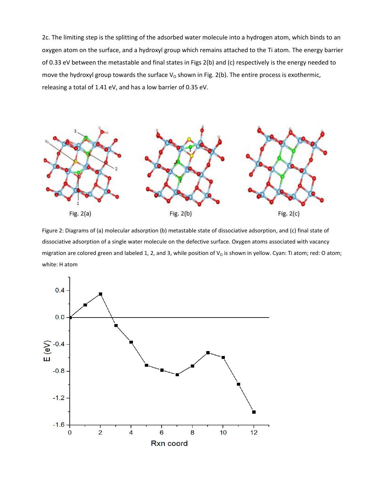2c. The limiting step is the splitting of the adsorbed water molecule into a hydrogen atom, which binds to an oxygen atom on the surface, and a hydroxyl group which remains attached to the Ti atom. The energy barrier of 0.33 eV between the metastable and final states in Figs 2(b) and (c) respectively is the energy needed to move the hydroxyl group towards the surface  $V_0$  shown in Fig. 2(b). The entire process is exothermic, releasing a total of 1.41 eV, and has a low barrier of 0.35 eV.



Figure 2: Diagrams of (a) molecular adsorption (b) metastable state of dissociative adsorption, and (c) final state of dissociative adsorption of a single water molecule on the defective surface. Oxygen atoms associated with vacancy migration are colored green and labeled 1, 2, and 3, while position of  $V_0$  is shown in yellow. Cyan: Ti atom; red: O atom; white: H atom

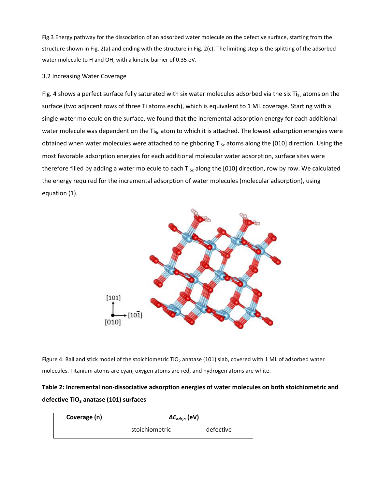Fig.3 Energy pathway for the dissociation of an adsorbed water molecule on the defective surface, starting from the structure shown in Fig. 2(a) and ending with the structure in Fig. 2(c). The limiting step is the splitting of the adsorbed water molecule to H and OH, with a kinetic barrier of 0.35 eV.

## 3.2 Increasing Water Coverage

Fig. 4 shows a perfect surface fully saturated with six water molecules adsorbed via the six Ti<sub>5c</sub> atoms on the surface (two adjacent rows of three Ti atoms each), which is equivalent to 1 ML coverage. Starting with a single water molecule on the surface, we found that the incremental adsorption energy for each additional water molecule was dependent on the Ti $_{5c}$  atom to which it is attached. The lowest adsorption energies were obtained when water molecules were attached to neighboring Ti<sub>5c</sub> atoms along the [010] direction. Using the most favorable adsorption energies for each additional molecular water adsorption, surface sites were therefore filled by adding a water molecule to each Ti $_{5c}$  along the [010] direction, row by row. We calculated the energy required for the incremental adsorption of water molecules (molecular adsorption), using equation (1).



Figure 4: Ball and stick model of the stoichiometric TiO<sub>2</sub> anatase (101) slab, covered with 1 ML of adsorbed water molecules. Titanium atoms are cyan, oxygen atoms are red, and hydrogen atoms are white.

## **Table 2: Incremental non-dissociative adsorption energies of water molecules on both stoichiometric and defective TiO<sup>2</sup> anatase (101) surfaces**

| Coverage (n) | $\Delta E_{ads,n}$ (eV) |           |  |
|--------------|-------------------------|-----------|--|
|              | stoichiometric          | defective |  |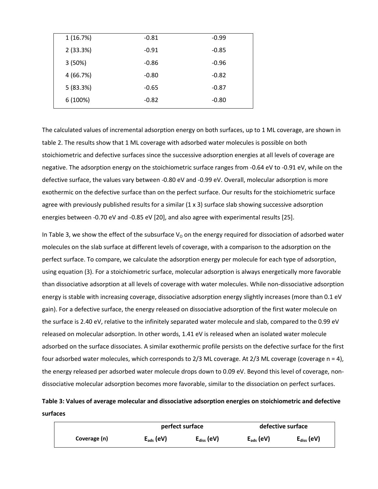| 1(16.7%)  | $-0.81$ | $-0.99$ |
|-----------|---------|---------|
| 2(33.3%)  | $-0.91$ | $-0.85$ |
| 3(50%)    | $-0.86$ | $-0.96$ |
| 4 (66.7%) | $-0.80$ | $-0.82$ |
| 5(83.3%)  | $-0.65$ | $-0.87$ |
| 6 (100%)  | $-0.82$ | $-0.80$ |

The calculated values of incremental adsorption energy on both surfaces, up to 1 ML coverage, are shown in table 2. The results show that 1 ML coverage with adsorbed water molecules is possible on both stoichiometric and defective surfaces since the successive adsorption energies at all levels of coverage are negative. The adsorption energy on the stoichiometric surface ranges from -0.64 eV to -0.91 eV, while on the defective surface, the values vary between -0.80 eV and -0.99 eV. Overall, molecular adsorption is more exothermic on the defective surface than on the perfect surface. Our results for the stoichiometric surface agree with previously published results for a similar (1 x 3) surface slab showing successive adsorption energies between -0.70 eV and -0.85 eV [20], and also agree with experimental results [25].

In Table 3, we show the effect of the subsurface  $V_0$  on the energy required for dissociation of adsorbed water molecules on the slab surface at different levels of coverage, with a comparison to the adsorption on the perfect surface. To compare, we calculate the adsorption energy per molecule for each type of adsorption, using equation (3). For a stoichiometric surface, molecular adsorption is always energetically more favorable than dissociative adsorption at all levels of coverage with water molecules. While non-dissociative adsorption energy is stable with increasing coverage, dissociative adsorption energy slightly increases (more than 0.1 eV gain). For a defective surface, the energy released on dissociative adsorption of the first water molecule on the surface is 2.40 eV, relative to the infinitely separated water molecule and slab, compared to the 0.99 eV released on molecular adsorption. In other words, 1.41 eV is released when an isolated water molecule adsorbed on the surface dissociates. A similar exothermic profile persists on the defective surface for the first four adsorbed water molecules, which corresponds to  $2/3$  ML coverage. At  $2/3$  ML coverage (coverage n = 4), the energy released per adsorbed water molecule drops down to 0.09 eV. Beyond this level of coverage, nondissociative molecular adsorption becomes more favorable, similar to the dissociation on perfect surfaces.

**Table 3: Values of average molecular and dissociative adsorption energies on stoichiometric and defective surfaces**

|              | perfect surface |                        | defective surface |                        |
|--------------|-----------------|------------------------|-------------------|------------------------|
| Coverage (n) | $E_{ads}$ (eV)  | $E_{\text{diss}}$ (eV) | $E_{ads}$ (eV)    | $E_{\text{diss}}$ (eV) |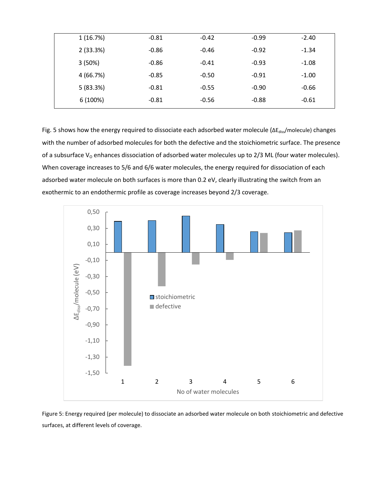| 1(16.7%)  | $-0.81$ | $-0.42$ | $-0.99$ | $-2.40$ |
|-----------|---------|---------|---------|---------|
| 2(33.3%)  | $-0.86$ | $-0.46$ | $-0.92$ | $-1.34$ |
| 3(50%)    | $-0.86$ | $-0.41$ | $-0.93$ | $-1.08$ |
| 4 (66.7%) | $-0.85$ | $-0.50$ | $-0.91$ | $-1.00$ |
| 5(83.3%)  | $-0.81$ | $-0.55$ | $-0.90$ | $-0.66$ |
| 6(100%)   | $-0.81$ | $-0.56$ | $-0.88$ | $-0.61$ |

Fig. 5 shows how the energy required to dissociate each adsorbed water molecule (∆E<sub>diss</sub>/molecule) changes with the number of adsorbed molecules for both the defective and the stoichiometric surface. The presence of a subsurface  $V<sub>o</sub>$  enhances dissociation of adsorbed water molecules up to 2/3 ML (four water molecules). When coverage increases to 5/6 and 6/6 water molecules, the energy required for dissociation of each adsorbed water molecule on both surfaces is more than 0.2 eV, clearly illustrating the switch from an exothermic to an endothermic profile as coverage increases beyond 2/3 coverage.



Figure 5: Energy required (per molecule) to dissociate an adsorbed water molecule on both stoichiometric and defective surfaces, at different levels of coverage.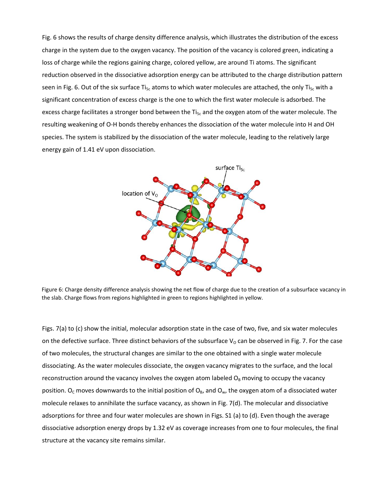Fig. 6 shows the results of charge density difference analysis, which illustrates the distribution of the excess charge in the system due to the oxygen vacancy. The position of the vacancy is colored green, indicating a loss of charge while the regions gaining charge, colored yellow, are around Ti atoms. The significant reduction observed in the dissociative adsorption energy can be attributed to the charge distribution pattern seen in Fig. 6. Out of the six surface Ti<sub>5c</sub> atoms to which water molecules are attached, the only Ti<sub>5c</sub> with a significant concentration of excess charge is the one to which the first water molecule is adsorbed. The excess charge facilitates a stronger bond between the  $Ti_{5c}$  and the oxygen atom of the water molecule. The resulting weakening of O-H bonds thereby enhances the dissociation of the water molecule into H and OH species. The system is stabilized by the dissociation of the water molecule, leading to the relatively large energy gain of 1.41 eV upon dissociation.



Figure 6: Charge density difference analysis showing the net flow of charge due to the creation of a subsurface vacancy in the slab. Charge flows from regions highlighted in green to regions highlighted in yellow.

Figs. 7(a) to (c) show the initial, molecular adsorption state in the case of two, five, and six water molecules on the defective surface. Three distinct behaviors of the subsurface  $V_0$  can be observed in Fig. 7. For the case of two molecules, the structural changes are similar to the one obtained with a single water molecule dissociating. As the water molecules dissociate, the oxygen vacancy migrates to the surface, and the local reconstruction around the vacancy involves the oxygen atom labeled  $O<sub>B</sub>$  moving to occupy the vacancy position.  $O_c$  moves downwards to the initial position of  $O_B$ , and  $O_w$ , the oxygen atom of a dissociated water molecule relaxes to annihilate the surface vacancy, as shown in Fig. 7(d). The molecular and dissociative adsorptions for three and four water molecules are shown in Figs. S1 (a) to (d). Even though the average dissociative adsorption energy drops by 1.32 eV as coverage increases from one to four molecules, the final structure at the vacancy site remains similar.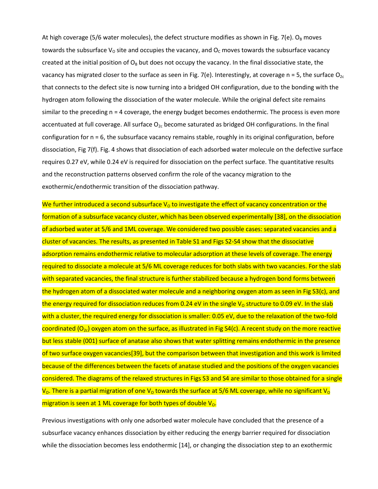At high coverage (5/6 water molecules), the defect structure modifies as shown in Fig. 7(e). O<sub>B</sub> moves towards the subsurface V<sub>o</sub> site and occupies the vacancy, and  $O<sub>c</sub>$  moves towards the subsurface vacancy created at the initial position of  $O_B$  but does not occupy the vacancy. In the final dissociative state, the vacancy has migrated closer to the surface as seen in Fig. 7(e). Interestingly, at coverage  $n = 5$ , the surface  $O_{2c}$ that connects to the defect site is now turning into a bridged OH configuration, due to the bonding with the hydrogen atom following the dissociation of the water molecule. While the original defect site remains similar to the preceding n = 4 coverage, the energy budget becomes endothermic. The process is even more accentuated at full coverage. All surface  $O_{2c}$  become saturated as bridged OH configurations. In the final configuration for n = 6, the subsurface vacancy remains stable, roughly in its original configuration, before dissociation, Fig 7(f). Fig. 4 shows that dissociation of each adsorbed water molecule on the defective surface requires 0.27 eV, while 0.24 eV is required for dissociation on the perfect surface. The quantitative results and the reconstruction patterns observed confirm the role of the vacancy migration to the exothermic/endothermic transition of the dissociation pathway.

We further introduced a second subsurface  $V_0$  to investigate the effect of vacancy concentration or the formation of a subsurface vacancy cluster, which has been observed experimentally [38], on the dissociation of adsorbed water at 5/6 and 1ML coverage. We considered two possible cases: separated vacancies and a cluster of vacancies. The results, as presented in Table S1 and Figs S2-S4 show that the dissociative adsorption remains endothermic relative to molecular adsorption at these levels of coverage. The energy required to dissociate a molecule at 5/6 ML coverage reduces for both slabs with two vacancies. For the slab with separated vacancies, the final structure is further stabilized because a hydrogen bond forms between the hydrogen atom of a dissociated water molecule and a neighboring oxygen atom as seen in Fig S3(c), and the energy required for dissociation reduces from 0.24 eV in the single  $V_0$  structure to 0.09 eV. In the slab with a cluster, the required energy for dissociation is smaller: 0.05 eV, due to the relaxation of the two-fold coordinated  $(O_{2c})$  oxygen atom on the surface, as illustrated in Fig S4(c). A recent study on the more reactive but less stable (001) surface of anatase also shows that water splitting remains endothermic in the presence of two surface oxygen vacancies[39], but the comparison between that investigation and this work is limited because of the differences between the facets of anatase studied and the positions of the oxygen vacancies considered. The diagrams of the relaxed structures in Figs S3 and S4 are similar to those obtained for a single  $V_0$ . There is a partial migration of one V<sub>o</sub> towards the surface at 5/6 ML coverage, while no significant V<sub>o</sub> migration is seen at 1 ML coverage for both types of double  $V_0$ .

Previous investigations with only one adsorbed water molecule have concluded that the presence of a subsurface vacancy enhances dissociation by either reducing the energy barrier required for dissociation while the dissociation becomes less endothermic [14], or changing the dissociation step to an exothermic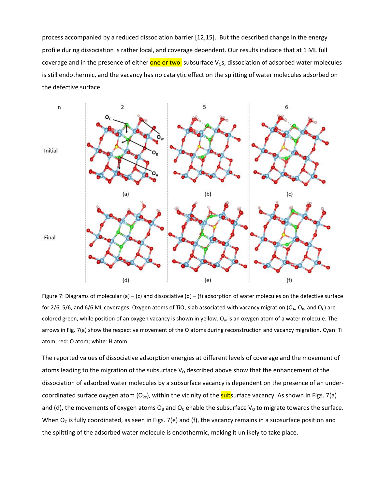process accompanied by a reduced dissociation barrier [12,15]. But the described change in the energy profile during dissociation is rather local, and coverage dependent. Our results indicate that at 1 ML full coverage and in the presence of either one or two subsurface V<sub>o</sub>s, dissociation of adsorbed water molecules is still endothermic, and the vacancy has no catalytic effect on the splitting of water molecules adsorbed on the defective surface.



Figure 7: Diagrams of molecular (a) – (c) and dissociative (d) – (f) adsorption of water molecules on the defective surface for 2/6, 5/6, and 6/6 ML coverages. Oxygen atoms of TiO<sub>2</sub> slab associated with vacancy migration (O<sub>A</sub>, O<sub>B</sub>, and O<sub>C</sub>) are colored green, while position of an oxygen vacancy is shown in yellow.  $O_w$  is an oxygen atom of a water molecule. The arrows in Fig. 7(a) show the respective movement of the O atoms during reconstruction and vacancy migration. Cyan: Ti atom; red: O atom; white: H atom

The reported values of dissociative adsorption energies at different levels of coverage and the movement of atoms leading to the migration of the subsurface  $V_0$  described above show that the enhancement of the dissociation of adsorbed water molecules by a subsurface vacancy is dependent on the presence of an undercoordinated surface oxygen atom  $(O_{2c})$ , within the vicinity of the **sub**surface vacancy. As shown in Figs. 7(a) and (d), the movements of oxygen atoms  $O_B$  and  $O_C$  enable the subsurface V<sub>o</sub> to migrate towards the surface. When  $O_c$  is fully coordinated, as seen in Figs. 7(e) and (f), the vacancy remains in a subsurface position and the splitting of the adsorbed water molecule is endothermic, making it unlikely to take place.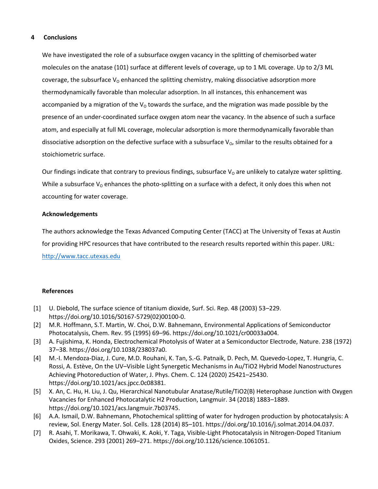## **4 Conclusions**

We have investigated the role of a subsurface oxygen vacancy in the splitting of chemisorbed water molecules on the anatase (101) surface at different levels of coverage, up to 1 ML coverage. Up to 2/3 ML coverage, the subsurface  $V_0$  enhanced the splitting chemistry, making dissociative adsorption more thermodynamically favorable than molecular adsorption. In all instances, this enhancement was accompanied by a migration of the  $V_0$  towards the surface, and the migration was made possible by the presence of an under-coordinated surface oxygen atom near the vacancy. In the absence of such a surface atom, and especially at full ML coverage, molecular adsorption is more thermodynamically favorable than dissociative adsorption on the defective surface with a subsurface  $V<sub>o</sub>$ , similar to the results obtained for a stoichiometric surface.

Our findings indicate that contrary to previous findings, subsurface  $V_0$  are unlikely to catalyze water splitting. While a subsurface  $V_0$  enhances the photo-splitting on a surface with a defect, it only does this when not accounting for water coverage.

## **Acknowledgements**

The authors acknowledge the Texas Advanced Computing Center (TACC) at The University of Texas at Austin for providing HPC resources that have contributed to the research results reported within this paper. URL: [http://www.tacc.utexas.edu](http://www.tacc.utexas.edu/)

## **References**

- [1] U. Diebold, The surface science of titanium dioxide, Surf. Sci. Rep. 48 (2003) 53–229. https://doi.org/10.1016/S0167-5729(02)00100-0.
- [2] M.R. Hoffmann, S.T. Martin, W. Choi, D.W. Bahnemann, Environmental Applications of Semiconductor Photocatalysis, Chem. Rev. 95 (1995) 69–96. https://doi.org/10.1021/cr00033a004.
- [3] A. Fujishima, K. Honda, Electrochemical Photolysis of Water at a Semiconductor Electrode, Nature. 238 (1972) 37–38. https://doi.org/10.1038/238037a0.
- [4] M.-I. Mendoza-Diaz, J. Cure, M.D. Rouhani, K. Tan, S.-G. Patnaik, D. Pech, M. Quevedo-Lopez, T. Hungria, C. Rossi, A. Estève, On the UV–Visible Light Synergetic Mechanisms in Au/TiO2 Hybrid Model Nanostructures Achieving Photoreduction of Water, J. Phys. Chem. C. 124 (2020) 25421–25430. https://doi.org/10.1021/acs.jpcc.0c08381.
- [5] X. An, C. Hu, H. Liu, J. Qu, Hierarchical Nanotubular Anatase/Rutile/TiO2(B) Heterophase Junction with Oxygen Vacancies for Enhanced Photocatalytic H2 Production, Langmuir. 34 (2018) 1883–1889. https://doi.org/10.1021/acs.langmuir.7b03745.
- [6] A.A. Ismail, D.W. Bahnemann, Photochemical splitting of water for hydrogen production by photocatalysis: A review, Sol. Energy Mater. Sol. Cells. 128 (2014) 85–101. https://doi.org/10.1016/j.solmat.2014.04.037.
- [7] R. Asahi, T. Morikawa, T. Ohwaki, K. Aoki, Y. Taga, Visible-Light Photocatalysis in Nitrogen-Doped Titanium Oxides, Science. 293 (2001) 269–271. https://doi.org/10.1126/science.1061051.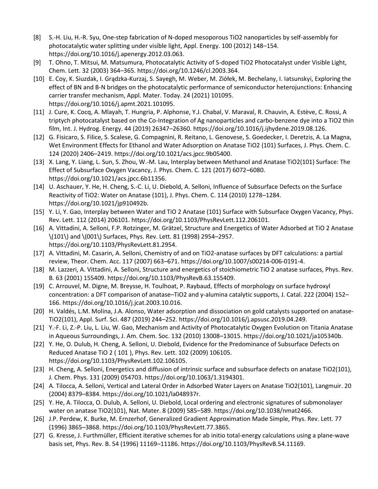- [8] S.-H. Liu, H.-R. Syu, One-step fabrication of N-doped mesoporous TiO2 nanoparticles by self-assembly for photocatalytic water splitting under visible light, Appl. Energy. 100 (2012) 148–154. https://doi.org/10.1016/j.apenergy.2012.03.063.
- [9] T. Ohno, T. Mitsui, M. Matsumura, Photocatalytic Activity of S-doped TiO2 Photocatalyst under Visible Light, Chem. Lett. 32 (2003) 364–365. https://doi.org/10.1246/cl.2003.364.
- [10] E. Coy, K. Siuzdak, I. Grądzka-Kurzaj, S. Sayegh, M. Weber, M. Ziółek, M. Bechelany, I. Iatsunskyi, Exploring the effect of BN and B-N bridges on the photocatalytic performance of semiconductor heterojunctions: Enhancing carrier transfer mechanism, Appl. Mater. Today. 24 (2021) 101095. https://doi.org/10.1016/j.apmt.2021.101095.
- [11] J. Cure, K. Cocq, A. Mlayah, T. Hungria, P. Alphonse, Y.J. Chabal, V. Maraval, R. Chauvin, A. Estève, C. Rossi, A triptych photocatalyst based on the Co-Integration of Ag nanoparticles and carbo-benzene dye into a TiO2 thin film, Int. J. Hydrog. Energy. 44 (2019) 26347–26360. https://doi.org/10.1016/j.ijhydene.2019.08.126.
- [12] G. Fisicaro, S. Filice, S. Scalese, G. Compagnini, R. Reitano, L. Genovese, S. Goedecker, I. Deretzis, A. La Magna, Wet Environment Effects for Ethanol and Water Adsorption on Anatase TiO2 (101) Surfaces, J. Phys. Chem. C. 124 (2020) 2406–2419. https://doi.org/10.1021/acs.jpcc.9b05400.
- [13] X. Lang, Y. Liang, L. Sun, S. Zhou, W.-M. Lau, Interplay between Methanol and Anatase TiO2(101) Surface: The Effect of Subsurface Oxygen Vacancy, J. Phys. Chem. C. 121 (2017) 6072–6080. https://doi.org/10.1021/acs.jpcc.6b11356.
- [14] U. Aschauer, Y. He, H. Cheng, S.-C. Li, U. Diebold, A. Selloni, Influence of Subsurface Defects on the Surface Reactivity of TiO2: Water on Anatase (101), J. Phys. Chem. C. 114 (2010) 1278–1284. https://doi.org/10.1021/jp910492b.
- [15] Y. Li, Y. Gao, Interplay between Water and TiO 2 Anatase (101) Surface with Subsurface Oxygen Vacancy, Phys. Rev. Lett. 112 (2014) 206101. https://doi.org/10.1103/PhysRevLett.112.206101.
- [16] A. Vittadini, A. Selloni, F.P. Rotzinger, M. Grätzel, Structure and Energetics of Water Adsorbed at TiO 2 Anatase \(101\) and \(001\) Surfaces, Phys. Rev. Lett. 81 (1998) 2954–2957. https://doi.org/10.1103/PhysRevLett.81.2954.
- [17] A. Vittadini, M. Casarin, A. Selloni, Chemistry of and on TiO2-anatase surfaces by DFT calculations: a partial review, Theor. Chem. Acc. 117 (2007) 663–671. https://doi.org/10.1007/s00214-006-0191-4.
- [18] M. Lazzeri, A. Vittadini, A. Selloni, Structure and energetics of stoichiometric TiO 2 anatase surfaces, Phys. Rev. B. 63 (2001) 155409. https://doi.org/10.1103/PhysRevB.63.155409.
- [19] C. Arrouvel, M. Digne, M. Breysse, H. Toulhoat, P. Raybaud, Effects of morphology on surface hydroxyl concentration: a DFT comparison of anatase–TiO2 and γ-alumina catalytic supports, J. Catal. 222 (2004) 152– 166. https://doi.org/10.1016/j.jcat.2003.10.016.
- [20] H. Valdés, L.M. Molina, J.A. Alonso, Water adsorption and dissociation on gold catalysts supported on anatase-TiO2(101), Appl. Surf. Sci. 487 (2019) 244–252. https://doi.org/10.1016/j.apsusc.2019.04.249.
- [21] Y.-F. Li, Z.-P. Liu, L. Liu, W. Gao, Mechanism and Activity of Photocatalytic Oxygen Evolution on Titania Anatase in Aqueous Surroundings, J. Am. Chem. Soc. 132 (2010) 13008–13015. https://doi.org/10.1021/ja105340b.
- [22] Y. He, O. Dulub, H. Cheng, A. Selloni, U. Diebold, Evidence for the Predominance of Subsurface Defects on Reduced Anatase TiO 2 ( 101 ), Phys. Rev. Lett. 102 (2009) 106105. https://doi.org/10.1103/PhysRevLett.102.106105.
- [23] H. Cheng, A. Selloni, Energetics and diffusion of intrinsic surface and subsurface defects on anatase TiO2(101), J. Chem. Phys. 131 (2009) 054703. https://doi.org/10.1063/1.3194301.
- [24] A. Tilocca, A. Selloni, Vertical and Lateral Order in Adsorbed Water Layers on Anatase TiO2(101), Langmuir. 20 (2004) 8379–8384. https://doi.org/10.1021/la048937r.
- [25] Y. He, A. Tilocca, O. Dulub, A. Selloni, U. Diebold, Local ordering and electronic signatures of submonolayer water on anatase TiO2(101), Nat. Mater. 8 (2009) 585–589. https://doi.org/10.1038/nmat2466.
- [26] J.P. Perdew, K. Burke, M. Ernzerhof, Generalized Gradient Approximation Made Simple, Phys. Rev. Lett. 77 (1996) 3865–3868. https://doi.org/10.1103/PhysRevLett.77.3865.
- [27] G. Kresse, J. Furthmüller, Efficient iterative schemes for ab initio total-energy calculations using a plane-wave basis set, Phys. Rev. B. 54 (1996) 11169–11186. https://doi.org/10.1103/PhysRevB.54.11169.